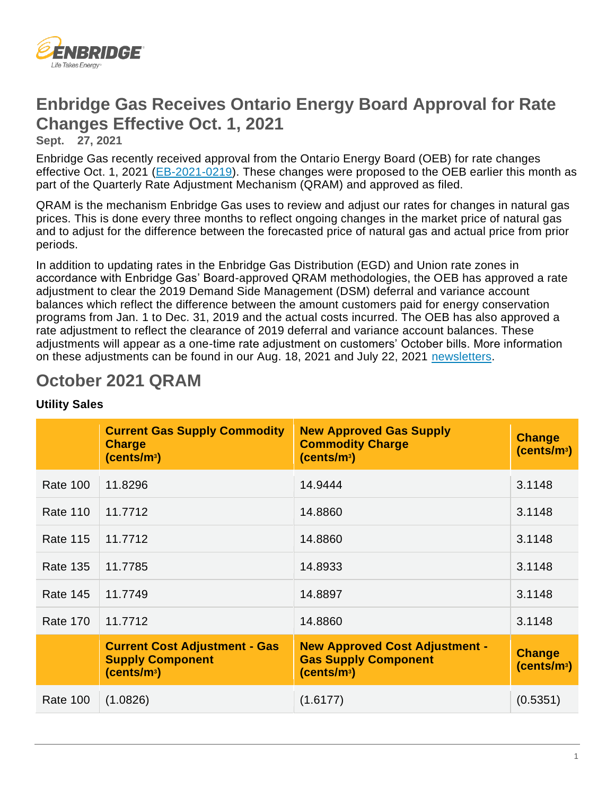

# **Enbridge Gas Receives Ontario Energy Board Approval for Rate Changes Effective Oct. 1, 2021**

**Sept. 27, 2021** 

Enbridge Gas recently received approval from the Ontario Energy Board (OEB) for rate changes effective Oct. 1, 2021 [\(EB-2021-0219\)](https://www.enbridgegas.com/about-enbridge-gas/regulatory). These changes were proposed to the OEB earlier this month as part of the Quarterly Rate Adjustment Mechanism (QRAM) and approved as filed.

QRAM is the mechanism Enbridge Gas uses to review and adjust our rates for changes in natural gas prices. This is done every three months to reflect ongoing changes in the market price of natural gas and to adjust for the difference between the forecasted price of natural gas and actual price from prior periods.

In addition to updating rates in the Enbridge Gas Distribution (EGD) and Union rate zones in accordance with Enbridge Gas' Board-approved QRAM methodologies, the OEB has approved a rate adjustment to clear the 2019 Demand Side Management (DSM) deferral and variance account balances which reflect the difference between the amount customers paid for energy conservation programs from Jan. 1 to Dec. 31, 2019 and the actual costs incurred. The OEB has also approved a rate adjustment to reflect the clearance of 2019 deferral and variance account balances. These adjustments will appear as a one-time rate adjustment on customers' October bills. More information on these adjustments can be found in our Aug. 18, 2021 and July 22, 2021 [newsletters.](https://www.enbridgegas.com/business-industrial/newsletters)

# **October 2021 QRAM**

|                 | <b>Current Gas Supply Commodity</b><br><b>Charge</b><br>(cents/m <sup>3</sup> )            | <b>New Approved Gas Supply</b><br><b>Commodity Charge</b><br>(cents/m <sup>3</sup> )            | <b>Change</b><br>(cents/m <sup>3</sup> ) |
|-----------------|--------------------------------------------------------------------------------------------|-------------------------------------------------------------------------------------------------|------------------------------------------|
| <b>Rate 100</b> | 11.8296                                                                                    | 14.9444                                                                                         | 3.1148                                   |
| <b>Rate 110</b> | 11.7712                                                                                    | 14.8860                                                                                         | 3.1148                                   |
| <b>Rate 115</b> | 11.7712                                                                                    | 14.8860                                                                                         | 3.1148                                   |
| <b>Rate 135</b> | 11.7785                                                                                    | 14.8933                                                                                         | 3.1148                                   |
| <b>Rate 145</b> | 11.7749                                                                                    | 14.8897                                                                                         | 3.1148                                   |
| <b>Rate 170</b> | 11.7712                                                                                    | 14.8860                                                                                         | 3.1148                                   |
|                 | <b>Current Cost Adjustment - Gas</b><br><b>Supply Component</b><br>(cents/m <sup>3</sup> ) | <b>New Approved Cost Adjustment -</b><br><b>Gas Supply Component</b><br>(cents/m <sup>3</sup> ) | <b>Change</b><br>(cents/m <sup>3</sup> ) |
| <b>Rate 100</b> | (1.0826)                                                                                   | (1.6177)                                                                                        | (0.5351)                                 |

## **Utility Sales**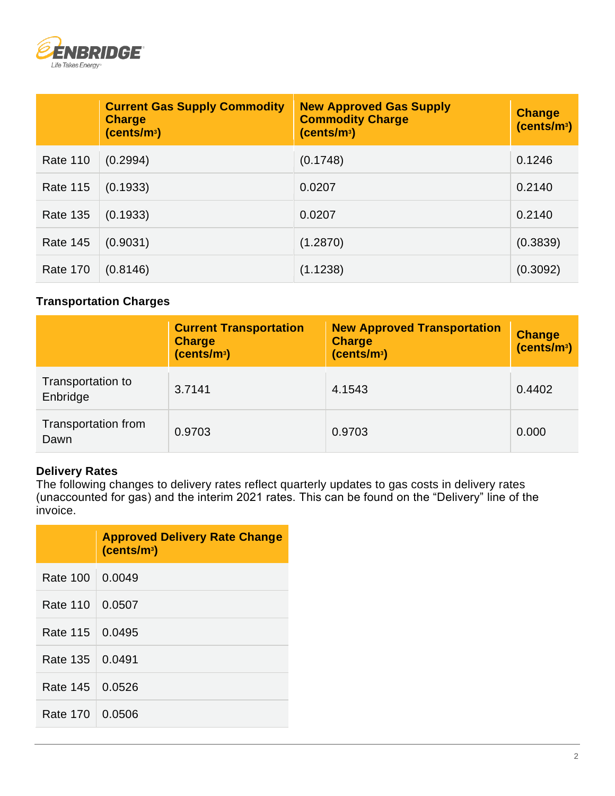

|                 | <b>Current Gas Supply Commodity</b><br><b>Charge</b><br>(cents/m <sup>3</sup> ) | <b>New Approved Gas Supply</b><br><b>Commodity Charge</b><br>(cents/m <sup>3</sup> ) | <b>Change</b><br>(cents/m <sup>3</sup> ) |
|-----------------|---------------------------------------------------------------------------------|--------------------------------------------------------------------------------------|------------------------------------------|
| <b>Rate 110</b> | (0.2994)                                                                        | (0.1748)                                                                             | 0.1246                                   |
| <b>Rate 115</b> | (0.1933)                                                                        | 0.0207                                                                               | 0.2140                                   |
| <b>Rate 135</b> | (0.1933)                                                                        | 0.0207                                                                               | 0.2140                                   |
| <b>Rate 145</b> | (0.9031)                                                                        | (1.2870)                                                                             | (0.3839)                                 |
| <b>Rate 170</b> | (0.8146)                                                                        | (1.1238)                                                                             | (0.3092)                                 |

### **Transportation Charges**

|                               | <b>Current Transportation</b><br><b>Charge</b><br>(cents/m <sup>3</sup> ) | <b>New Approved Transportation</b><br><b>Charge</b><br>(cents/m <sup>3</sup> ) | Change<br>(cents/m <sup>3</sup> ) |
|-------------------------------|---------------------------------------------------------------------------|--------------------------------------------------------------------------------|-----------------------------------|
| Transportation to<br>Enbridge | 3.7141                                                                    | 4.1543                                                                         | 0.4402                            |
| Transportation from<br>Dawn   | 0.9703                                                                    | 0.9703                                                                         | 0.000                             |

#### **Delivery Rates**

The following changes to delivery rates reflect quarterly updates to gas costs in delivery rates (unaccounted for gas) and the interim 2021 rates. This can be found on the "Delivery" line of the invoice.

|                   | <b>Approved Delivery Rate Change</b><br>(cents/m <sup>3</sup> ) |
|-------------------|-----------------------------------------------------------------|
| Rate 100 0.0049   |                                                                 |
| Rate 110   0.0507 |                                                                 |
| Rate 115   0.0495 |                                                                 |
| Rate 135   0.0491 |                                                                 |
| Rate 145   0.0526 |                                                                 |
| Rate 170   0.0506 |                                                                 |